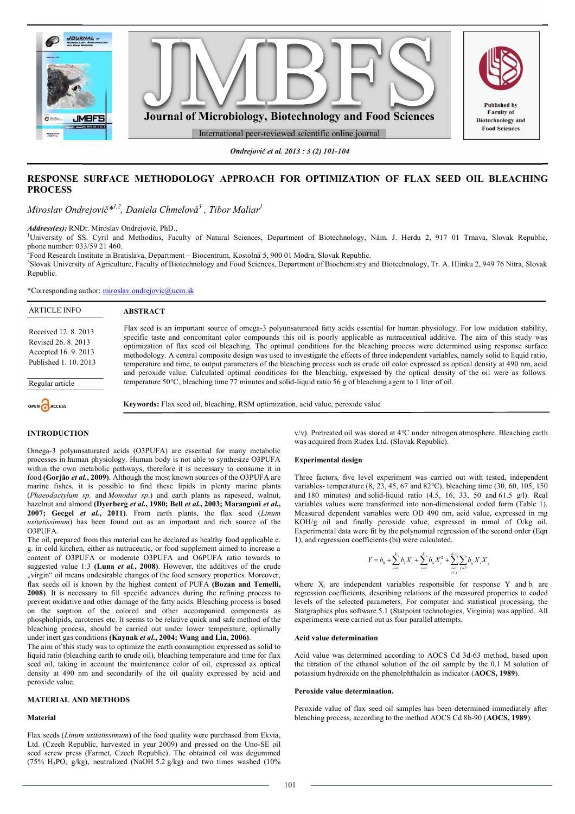

*Ondrejovič et al. 2013 : 3 (2) 101-104*

# **RESPONSE SURFACE METHODOLOGY APPROACH FOR OPTIMIZATION OF FLAX SEED OIL BLEACHING PROCESS**

*Miroslav Ondrejovič\*1,2, Daniela Chmelová<sup>3</sup> , Tibor Maliar<sup>1</sup>*

*Address(es):* RNDr. Miroslav Ondrejovič, PhD.,

<sup>1</sup>University of SS. Cyril and Methodius, Faculty of Natural Sciences, Department of Biotechnology, Nám. J. Herdu 2, 917 01 Trnava, Slovak Republic, phone number: 033/59 21 460.

2 Food Research Institute in Bratislava, Department – Biocentrum, Kostolná 5, 900 01 Modra, Slovak Republic.

3 Slovak University of Agriculture, Faculty of Biotechnology and Food Sciences, Department of Biochemistry and Biotechnology, Tr. A. Hlinku 2, 949 76 Nitra, Slovak Republic.

\*Corresponding author: miroslav.ondrejovic@ucm.sk

| <b>ARTICLE INFO</b>                                                                        | <b>ABSTRACT</b>                                                                                                                                                                                                                                                                                                                                                                                                                                                                                                                                                                                                                                                                                                                                                                                                                             |
|--------------------------------------------------------------------------------------------|---------------------------------------------------------------------------------------------------------------------------------------------------------------------------------------------------------------------------------------------------------------------------------------------------------------------------------------------------------------------------------------------------------------------------------------------------------------------------------------------------------------------------------------------------------------------------------------------------------------------------------------------------------------------------------------------------------------------------------------------------------------------------------------------------------------------------------------------|
| Received 12, 8, 2013<br>Revised 26, 8, 2013<br>Accepted 16.9.2013<br>Published 1, 10, 2013 | Flax seed is an important source of omega-3 polyunsaturated fatty acids essential for human physiology. For low oxidation stability,<br>specific taste and concomitant color compounds this oil is poorly applicable as nutraceutical additive. The aim of this study was<br>optimization of flax seed oil bleaching. The optimal conditions for the bleaching process were determined using response surface<br>methodology. A central composite design was used to investigate the effects of three independent variables, namely solid to liquid ratio,<br>temperature and time, to output parameters of the bleaching process such as crude oil color expressed as optical density at 490 nm, acid<br>and peroxide value. Calculated optimal conditions for the bleaching, expressed by the optical density of the oil were as follows: |
| Regular article                                                                            | temperature 50 °C, bleaching time 77 minutes and solid-liquid ratio 56 g of bleaching agent to 1 liter of oil.                                                                                                                                                                                                                                                                                                                                                                                                                                                                                                                                                                                                                                                                                                                              |
| OPEN CACCESS                                                                               | <b>Keywords:</b> Flax seed oil, bleaching, RSM optimization, acid value, peroxide value                                                                                                                                                                                                                                                                                                                                                                                                                                                                                                                                                                                                                                                                                                                                                     |

## **INTRODUCTION**

Omega-3 polyunsaturated acids (O3PUFA) are essential for many metabolic processes in human physiology. Human body is not able to synthesize O3PUFA within the own metabolic pathways, therefore it is necessary to consume it in food **(Gorjão** *et al.***, 2009)**. Although the most known sources of the O3PUFA are marine fishes, it is possible to find these lipids in plenty marine plants (*Phaeodactylum sp.* and *Monodus sp*.) and earth plants as rapeseed, walnut, hazelnut and almond **(Dyerberg** *et al.***, 1980; Bell** *et al.***, 2003; Marangoni** *et al.***, 2007; Gecgel** *et al.***, 2011)**. From earth plants, the flax seed (*Linum usitatissimum*) has been found out as an important and rich source of the O3PUFA.

The oil, prepared from this material can be declared as healthy food applicable e. g. in cold kitchen, either as nutraceutic, or food supplement aimed to increase a content of O3PUFA or moderate O3PUFA and O6PUFA ratio towards to suggested value 1:3 **(Luna** *et al.***, 2008)**. However, the additives of the crude "virgin" oil means undesirable changes of the food sensory properties. Moreover, flax seeds oil is known by the highest content of PUFA **(Bozan and Temelli, 2008)**. It is necessary to fill specific advances during the refining process to prevent oxidative and other damage of the fatty acids. Bleaching process is based on the sorption of the colored and other accompanied components as phospholipids, carotenes etc. It seems to be relative quick and safe method of the bleaching process, should be carried out under lower temperature, optimally under inert gas conditions **(Kaynak** *et al.***, 2004; Wang and Lin, 2006)**.

The aim of this study was to optimize the earth consumption expressed as solid to liquid ratio (bleaching earth to crude oil), bleaching temperature and time for flax seed oil, taking in account the maintenance color of oil, expressed as optical density at 490 nm and secondarily of the oil quality expressed by acid and peroxide value.

## **MATERIAL AND METHODS**

### **Material**

Flax seeds (*Linum usitatissimum*) of the food quality were purchased from Ekvia, Ltd. (Czech Republic, harvested in year 2009) and pressed on the Uno-SE oil seed screw press (Farmet, Czech Republic). The obtained oil was degummed (75% H<sub>3</sub>PO<sub>4</sub> g/kg), neutralized (NaOH 5.2 g/kg) and two times washed (10%) v/v). Pretreated oil was stored at 4°C under nitrogen atmosphere. Bleaching earth was acquired from Rudex Ltd. (Slovak Republic).

## **Experimental design**

Three factors, five level experiment was carried out with tested, independent variables- temperature (8, 23, 45, 67 and 82°C), bleaching time (30, 60, 105, 150 and 180 minutes) and solid-liquid ratio (4.5, 16, 33, 50 and 61.5 g/l). Real variables values were transformed into non-dimensional coded form (Table 1). Measured dependent variables were OD 490 nm, acid value, expressed in mg KOH/g oil and finally peroxide value, expressed in mmol of O/kg oil. Experimental data were fit by the polynomial regression of the second order (Eqn 1), and regression coefficients (bi) were calculated.

$$
Y = b_0 + \sum_{i=1}^k b_i X_i + \sum_{i=1}^k b_{ii} X_i^2 + \sum_{\substack{i=1 \\ i < j}}^{k-1} \sum_{j=2} b_{ij} X_i X_j
$$

where  $X_i$  are independent variables responsible for response Y and  $b_i$  are regression coefficients, describing relations of the measured properties to coded levels of the selected parameters. For computer and statistical processing, the Statgraphics plus software 5.1 (Statpoint technologies, Virginia) was applied. All experiments were carried out as four parallel attempts.

### **Acid value determination**

Acid value was determined according to AOCS Cd 3d-63 method, based upon the titration of the ethanol solution of the oil sample by the 0.1 M solution of potassium hydroxide on the phenolphthalein as indicator (**AOCS, 1989**).

### **Peroxide value determination.**

Peroxide value of flax seed oil samples has been determined immediately after bleaching process, according to the method AOCS Cd 8b-90 (**AOCS, 1989**).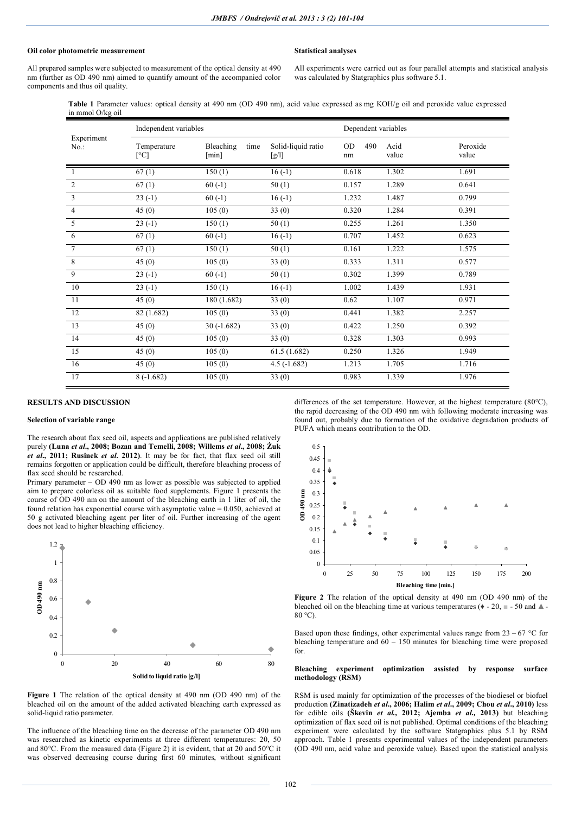## **Oil color photometric measurement**

## **Statistical analyses**

All prepared samples were subjected to measurement of the optical density at 490 nm (further as OD 490 nm) aimed to quantify amount of the accompanied color components and thus oil quality.

All experiments were carried out as four parallel attempts and statistical analysis was calculated by Statgraphics plus software 5.1.

**Table 1** Parameter values: optical density at 490 nm (OD 490 nm), acid value expressed as mg KOH/g oil and peroxide value expressed in mmol O/kg oil

| Experiment<br>$No.$ : | Independent variables |                            |                             | Dependent variables    |               |                   |
|-----------------------|-----------------------|----------------------------|-----------------------------|------------------------|---------------|-------------------|
|                       | Temperature<br>[°C]   | Bleaching<br>time<br>[min] | Solid-liquid ratio<br>[g/l] | <b>OD</b><br>490<br>nm | Acid<br>value | Peroxide<br>value |
|                       | 67(1)                 | 150(1)                     | $16(-1)$                    | 0.618                  | 1.302         | 1.691             |
| $\overline{2}$        | 67(1)                 | $60(-1)$                   | 50(1)                       | 0.157                  | 1.289         | 0.641             |
| 3                     | $23(-1)$              | $60(-1)$                   | $16(-1)$                    | 1.232                  | 1.487         | 0.799             |
| $\overline{4}$        | 45(0)                 | 105(0)                     | 33(0)                       | 0.320                  | 1.284         | 0.391             |
| 5                     | $23(-1)$              | 150(1)                     | 50(1)                       | 0.255                  | 1.261         | 1.350             |
| 6                     | 67(1)                 | $60(-1)$                   | $16(-1)$                    | 0.707                  | 1.452         | 0.623             |
| $\overline{7}$        | 67(1)                 | 150(1)                     | 50(1)                       | 0.161                  | 1.222         | 1.575             |
| 8                     | 45(0)                 | 105(0)                     | 33(0)                       | 0.333                  | 1.311         | 0.577             |
| 9                     | $23(-1)$              | $60(-1)$                   | 50(1)                       | 0.302                  | 1.399         | 0.789             |
| 10                    | $23(-1)$              | 150(1)                     | $16(-1)$                    | 1.002                  | 1.439         | 1.931             |
| 11                    | 45(0)                 | 180 (1.682)                | 33(0)                       | 0.62                   | 1.107         | 0.971             |
| 12                    | 82 (1.682)            | 105(0)                     | 33(0)                       | 0.441                  | 1.382         | 2.257             |
| 13                    | 45(0)                 | $30(-1.682)$               | 33(0)                       | 0.422                  | 1.250         | 0.392             |
| 14                    | 45(0)                 | 105(0)                     | 33(0)                       | 0.328                  | 1.303         | 0.993             |
| 15                    | 45(0)                 | 105(0)                     | 61.5(1.682)                 | 0.250                  | 1.326         | 1.949             |
| 16                    | 45(0)                 | 105(0)                     | $4.5(-1.682)$               | 1.213                  | 1.705         | 1.716             |
| 17                    | $8(-1.682)$           | 105(0)                     | 33(0)                       | 0.983                  | 1.339         | 1.976             |

## **RESULTS AND DISCUSSION**

### **Selection of variable range**

The research about flax seed oil, aspects and applications are published relatively purely **(Luna** *et al***., 2008; Bozan and Temelli, 2008; Willems** *et al***., 2008; Żuk**  *et al***., 2011; Rusinek** *et al***. 2012)**. It may be for fact, that flax seed oil still remains forgotten or application could be difficult, therefore bleaching process of flax seed should be researched.

Primary parameter – OD 490 nm as lower as possible was subjected to applied aim to prepare colorless oil as suitable food supplements. Figure 1 presents the course of OD 490 nm on the amount of the bleaching earth in 1 liter of oil, the found relation has exponential course with asymptotic value  $= 0.050$ , achieved at 50 g activated bleaching agent per liter of oil. Further increasing of the agent does not lead to higher bleaching efficiency.



**Figure 1** The relation of the optical density at 490 nm (OD 490 nm) of the bleached oil on the amount of the added activated bleaching earth expressed as solid-liquid ratio parameter.

The influence of the bleaching time on the decrease of the parameter OD 490 nm was researched as kinetic experiments at three different temperatures: 20, 50 and 80°C. From the measured data (Figure 2) it is evident, that at 20 and 50°C it was observed decreasing course during first 60 minutes, without significant differences of the set temperature. However, at the highest temperature (80°C), the rapid decreasing of the OD 490 nm with following moderate increasing was found out, probably due to formation of the oxidative degradation products of PUFA which means contribution to the OD.



**Figure 2** The relation of the optical density at 490 nm (OD 490 nm) of the bleached oil on the bleaching time at various temperatures ( $\bullet$  - 20,  $\text{m}$  - 50 and  $\text{A}$  -80 °C).

Based upon these findings, other experimental values range from  $23 - 67$  °C for bleaching temperature and  $60 - 150$  minutes for bleaching time were proposed for.

### **Bleaching experiment optimization assisted by response surface methodology (RSM)**

RSM is used mainly for optimization of the processes of the biodiesel or biofuel production **(Zinatizadeh** *et al***., 2006; Halim** *et al***., 2009; Chou** *et al***., 2010)** less for edible oils **(Škevin** *et al.,* **2012; Ajemba** *et al.,* **2013)** but bleaching optimization of flax seed oil is not published. Optimal conditions of the bleaching experiment were calculated by the software Statgraphics plus 5.1 by RSM approach. Table 1 presents experimental values of the independent parameters (OD 490 nm, acid value and peroxide value). Based upon the statistical analysis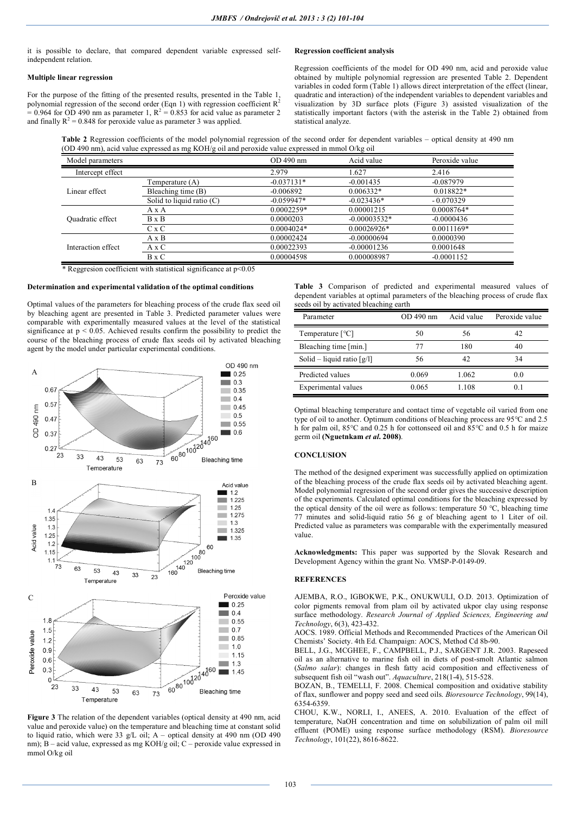it is possible to declare, that compared dependent variable expressed selfindependent relation.

## **Multiple linear regression**

For the purpose of the fitting of the presented results, presented in the Table 1, polynomial regression of the second order (Eqn 1) with regression coefficient  $R^2$  $= 0.964$  for OD 490 nm as parameter 1,  $R^2 = 0.853$  for acid value as parameter 2 and finally  $R^2 = 0.848$  for peroxide value as parameter 3 was applied.

## **Regression coefficient analysis**

Regression coefficients of the model for OD 490 nm, acid and peroxide value obtained by multiple polynomial regression are presented Table 2. Dependent variables in coded form (Table 1) allows direct interpretation of the effect (linear, quadratic and interaction) of the independent variables to dependent variables and visualization by 3D surface plots (Figure 3) assisted visualization of the statistically important factors (with the asterisk in the Table 2) obtained from statistical analyze.

**Table 2** Regression coefficients of the model polynomial regression of the second order for dependent variables – optical density at 490 nm (OD 490 nm), acid value expressed as mg KOH/g oil and peroxide value expressed in mmol O/kg oil

| Model parameters   |                           | OD 490 nm    | Acid value     | Peroxide value |
|--------------------|---------------------------|--------------|----------------|----------------|
| Intercept effect   |                           | 2.979        | 1.627          | 2.416          |
| Linear effect      | Femperature (A)           | $-0.037131*$ | $-0.001435$    | $-0.087979$    |
|                    | Bleaching time (B)        | $-0.006892$  | $0.006332*$    | $0.018822*$    |
|                    | Solid to liquid ratio (C) | $-0.059947*$ | $-0.023436*$   | $-0.070329$    |
| Quadratic effect   | AxA                       | $0.0002259*$ | 0.00001215     | 0.0008764*     |
|                    | $B \times B$              | 0.0000203    | $-0.00003532*$ | $-0.0000436$   |
|                    | C x C                     | $0.0004024*$ | $0.00026926*$  | $0.0011169*$   |
| Interaction effect | A x B                     | 0.00002424   | $-0.00000694$  | 0.0000390      |
|                    | A x C                     | 0.00022393   | $-0.00001236$  | 0.0001648      |
|                    | $B \times C$              | 0.00004598   | 0.000008987    | $-0.0001152$   |

\* Reggresion coefficient with statistical significance at p<0.05

### **Determination and experimental validation of the optimal conditions**

Optimal values of the parameters for bleaching process of the crude flax seed oil by bleaching agent are presented in Table 3. Predicted parameter values were comparable with experimentally measured values at the level of the statistical significance at  $p < 0.05$ . Achieved results confirm the possibility to predict the course of the bleaching process of crude flax seeds oil by activated bleaching agent by the model under particular experimental conditions.



**Figure 3** The relation of the dependent variables (optical density at 490 nm, acid value and peroxide value) on the temperature and bleaching time at constant solid to liquid ratio, which were 33 g/L oil; A – optical density at 490 nm (OD 490 nm); B – acid value, expressed as mg KOH/g oil; C – peroxide value expressed in mmol O/kg oil

**Table 3** Comparison of predicted and experimental measured values of dependent variables at optimal parameters of the bleaching process of crude flax seeds oil by activated bleaching earth

| Parameter                    | OD 490 nm | Acid value | Peroxide value |
|------------------------------|-----------|------------|----------------|
| Temperature $[^{\circ}C]$    | 50        | 56         | 42             |
| Bleaching time [min.]        | 77        | 180        | 40             |
| Solid – liquid ratio $[g/l]$ | 56        | 42         | 34             |
| Predicted values             | 0.069     | 1.062      | 0.0            |
| Experimental values          | 0.065     | 1.108      | 0 <sup>1</sup> |

Optimal bleaching temperature and contact time of vegetable oil varied from one type of oil to another. Optimum conditions of bleaching process are 95°C and 2.5 h for palm oil, 85°C and 0.25 h for cottonseed oil and 85°C and 0.5 h for maize germ oil **(Nguetnkam** *et al***. 2008)**.

### **CONCLUSION**

The method of the designed experiment was successfully applied on optimization of the bleaching process of the crude flax seeds oil by activated bleaching agent. Model polynomial regression of the second order gives the successive description of the experiments. Calculated optimal conditions for the bleaching expressed by the optical density of the oil were as follows: temperature 50 °C, bleaching time 77 minutes and solid-liquid ratio 56 g of bleaching agent to 1 Liter of oil. Predicted value as parameters was comparable with the experimentally measured value.

**Acknowledgments:** This paper was supported by the Slovak Research and Development Agency within the grant No. VMSP-P-0149-09.

### **REFERENCES**

AJEMBA, R.O., IGBOKWE, P.K., ONUKWULI, O.D. 2013. Optimization of color pigments removal from plam oil by activated ukpor clay using response surface methodology. *Research Journal of Applied Sciences, Engineering and Technology*, 6(3), 423-432.

AOCS. 1989. Official Methods and Recommended Practices of the American Oil Chemists' Society. 4th Ed. Champaign: AOCS, Method Cd 8b-90.

BELL, J.G., MCGHEE, F., CAMPBELL, P.J., SARGENT J.R. 2003. Rapeseed oil as an alternative to marine fish oil in diets of post-smolt Atlantic salmon (*Salmo salar*): changes in flesh fatty acid composition and effectiveness of subsequent fish oil "wash out". *Aquaculture*, 218(1-4), 515-528.

BOZAN, B., TEMELLI, F. 2008. Chemical composition and oxidative stability of flax, sunflower and poppy seed and seed oils. *Bioresource Technology*, 99(14), 6354-6359.

CHOU, K.W., NORLI, I., ANEES, A. 2010. Evaluation of the effect of temperature, NaOH concentration and time on solubilization of palm oil mill effluent (POME) using response surface methodology (RSM). *Bioresource Technology*, 101(22), 8616-8622.